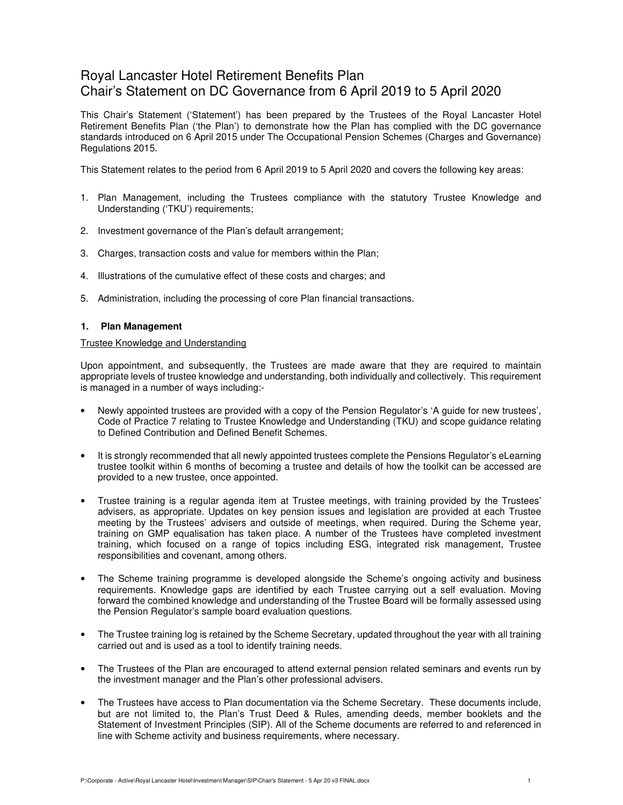# Royal Lancaster Hotel Retirement Benefits Plan Chair's Statement on DC Governance from 6 April 2019 to 5 April 2020

This Chair's Statement ('Statement') has been prepared by the Trustees of the Royal Lancaster Hotel Retirement Benefits Plan ('the Plan') to demonstrate how the Plan has complied with the DC governance standards introduced on 6 April 2015 under The Occupational Pension Schemes (Charges and Governance) Regulations 2015.

This Statement relates to the period from 6 April 2019 to 5 April 2020 and covers the following key areas:

- 1. Plan Management, including the Trustees compliance with the statutory Trustee Knowledge and Understanding ('TKU') requirements;
- 2. Investment governance of the Plan's default arrangement;
- 3. Charges, transaction costs and value for members within the Plan;
- 4. Illustrations of the cumulative effect of these costs and charges; and
- 5. Administration, including the processing of core Plan financial transactions.

# **1. Plan Management**

#### Trustee Knowledge and Understanding

Upon appointment, and subsequently, the Trustees are made aware that they are required to maintain appropriate levels of trustee knowledge and understanding, both individually and collectively. This requirement is managed in a number of ways including:-

- Newly appointed trustees are provided with a copy of the Pension Regulator's 'A guide for new trustees', Code of Practice 7 relating to Trustee Knowledge and Understanding (TKU) and scope guidance relating to Defined Contribution and Defined Benefit Schemes.
- It is strongly recommended that all newly appointed trustees complete the Pensions Regulator's eLearning trustee toolkit within 6 months of becoming a trustee and details of how the toolkit can be accessed are provided to a new trustee, once appointed.
- Trustee training is a regular agenda item at Trustee meetings, with training provided by the Trustees' advisers, as appropriate. Updates on key pension issues and legislation are provided at each Trustee meeting by the Trustees' advisers and outside of meetings, when required. During the Scheme year, training on GMP equalisation has taken place. A number of the Trustees have completed investment training, which focused on a range of topics including ESG, integrated risk management, Trustee responsibilities and covenant, among others.
- The Scheme training programme is developed alongside the Scheme's ongoing activity and business requirements. Knowledge gaps are identified by each Trustee carrying out a self evaluation. Moving forward the combined knowledge and understanding of the Trustee Board will be formally assessed using the Pension Regulator's sample board evaluation questions.
- The Trustee training log is retained by the Scheme Secretary, updated throughout the year with all training carried out and is used as a tool to identify training needs.
- The Trustees of the Plan are encouraged to attend external pension related seminars and events run by the investment manager and the Plan's other professional advisers.
- The Trustees have access to Plan documentation via the Scheme Secretary. These documents include, but are not limited to, the Plan's Trust Deed & Rules, amending deeds, member booklets and the Statement of Investment Principles (SIP). All of the Scheme documents are referred to and referenced in line with Scheme activity and business requirements, where necessary.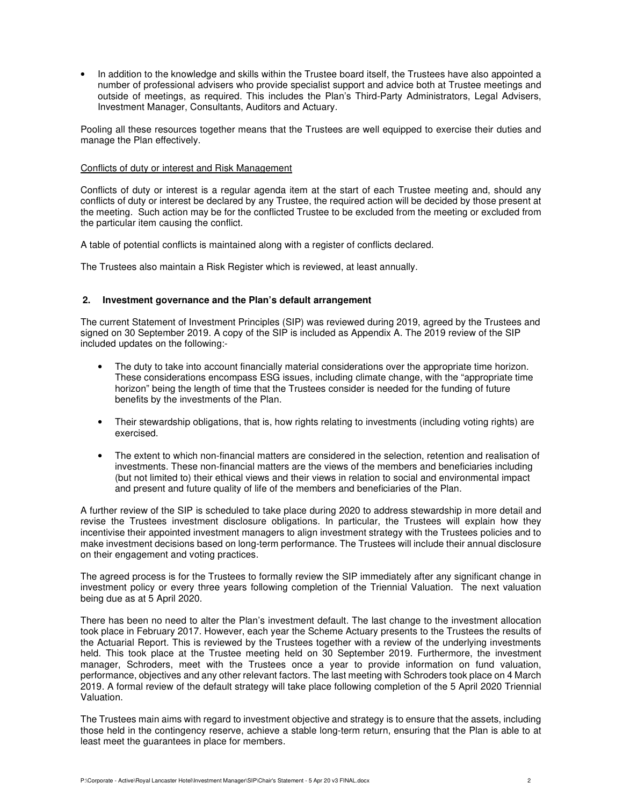• In addition to the knowledge and skills within the Trustee board itself, the Trustees have also appointed a number of professional advisers who provide specialist support and advice both at Trustee meetings and outside of meetings, as required. This includes the Plan's Third-Party Administrators, Legal Advisers, Investment Manager, Consultants, Auditors and Actuary.

Pooling all these resources together means that the Trustees are well equipped to exercise their duties and manage the Plan effectively.

#### Conflicts of duty or interest and Risk Management

Conflicts of duty or interest is a regular agenda item at the start of each Trustee meeting and, should any conflicts of duty or interest be declared by any Trustee, the required action will be decided by those present at the meeting. Such action may be for the conflicted Trustee to be excluded from the meeting or excluded from the particular item causing the conflict.

A table of potential conflicts is maintained along with a register of conflicts declared.

The Trustees also maintain a Risk Register which is reviewed, at least annually.

# **2. Investment governance and the Plan's default arrangement**

The current Statement of Investment Principles (SIP) was reviewed during 2019, agreed by the Trustees and signed on 30 September 2019. A copy of the SIP is included as Appendix A. The 2019 review of the SIP included updates on the following:-

- The duty to take into account financially material considerations over the appropriate time horizon. These considerations encompass ESG issues, including climate change, with the "appropriate time horizon" being the length of time that the Trustees consider is needed for the funding of future benefits by the investments of the Plan.
- Their stewardship obligations, that is, how rights relating to investments (including voting rights) are exercised.
- The extent to which non-financial matters are considered in the selection, retention and realisation of investments. These non-financial matters are the views of the members and beneficiaries including (but not limited to) their ethical views and their views in relation to social and environmental impact and present and future quality of life of the members and beneficiaries of the Plan.

A further review of the SIP is scheduled to take place during 2020 to address stewardship in more detail and revise the Trustees investment disclosure obligations. In particular, the Trustees will explain how they incentivise their appointed investment managers to align investment strategy with the Trustees policies and to make investment decisions based on long-term performance. The Trustees will include their annual disclosure on their engagement and voting practices.

The agreed process is for the Trustees to formally review the SIP immediately after any significant change in investment policy or every three years following completion of the Triennial Valuation. The next valuation being due as at 5 April 2020.

There has been no need to alter the Plan's investment default. The last change to the investment allocation took place in February 2017. However, each year the Scheme Actuary presents to the Trustees the results of the Actuarial Report. This is reviewed by the Trustees together with a review of the underlying investments held. This took place at the Trustee meeting held on 30 September 2019. Furthermore, the investment manager, Schroders, meet with the Trustees once a year to provide information on fund valuation, performance, objectives and any other relevant factors. The last meeting with Schroders took place on 4 March 2019. A formal review of the default strategy will take place following completion of the 5 April 2020 Triennial Valuation.

The Trustees main aims with regard to investment objective and strategy is to ensure that the assets, including those held in the contingency reserve, achieve a stable long-term return, ensuring that the Plan is able to at least meet the guarantees in place for members.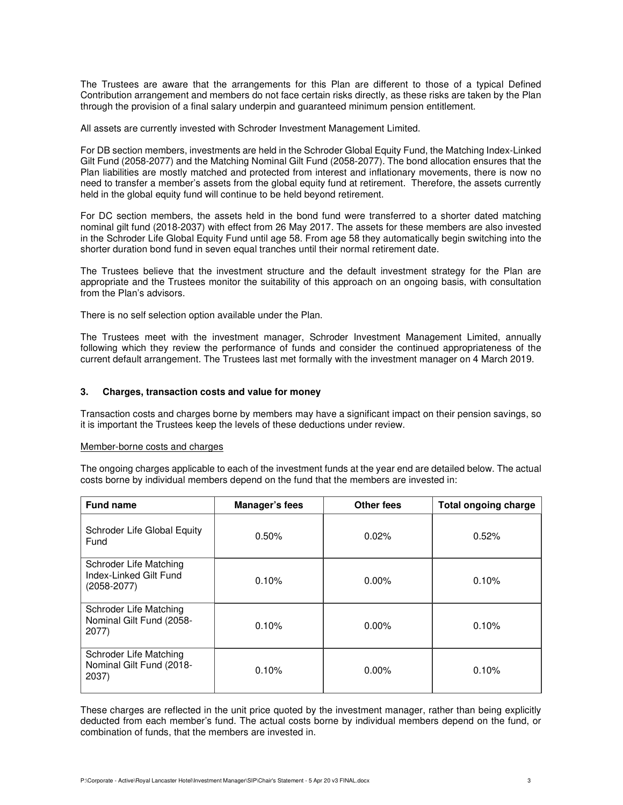The Trustees are aware that the arrangements for this Plan are different to those of a typical Defined Contribution arrangement and members do not face certain risks directly, as these risks are taken by the Plan through the provision of a final salary underpin and guaranteed minimum pension entitlement.

All assets are currently invested with Schroder Investment Management Limited.

For DB section members, investments are held in the Schroder Global Equity Fund, the Matching Index-Linked Gilt Fund (2058-2077) and the Matching Nominal Gilt Fund (2058-2077). The bond allocation ensures that the Plan liabilities are mostly matched and protected from interest and inflationary movements, there is now no need to transfer a member's assets from the global equity fund at retirement. Therefore, the assets currently held in the global equity fund will continue to be held beyond retirement.

For DC section members, the assets held in the bond fund were transferred to a shorter dated matching nominal gilt fund (2018-2037) with effect from 26 May 2017. The assets for these members are also invested in the Schroder Life Global Equity Fund until age 58. From age 58 they automatically begin switching into the shorter duration bond fund in seven equal tranches until their normal retirement date.

The Trustees believe that the investment structure and the default investment strategy for the Plan are appropriate and the Trustees monitor the suitability of this approach on an ongoing basis, with consultation from the Plan's advisors.

There is no self selection option available under the Plan.

The Trustees meet with the investment manager, Schroder Investment Management Limited, annually following which they review the performance of funds and consider the continued appropriateness of the current default arrangement. The Trustees last met formally with the investment manager on 4 March 2019.

# **3. Charges, transaction costs and value for money**

Transaction costs and charges borne by members may have a significant impact on their pension savings, so it is important the Trustees keep the levels of these deductions under review.

#### Member-borne costs and charges

The ongoing charges applicable to each of the investment funds at the year end are detailed below. The actual costs borne by individual members depend on the fund that the members are invested in:

| <b>Fund name</b>                                                    | Manager's fees | <b>Other fees</b> | <b>Total ongoing charge</b> |
|---------------------------------------------------------------------|----------------|-------------------|-----------------------------|
| Schroder Life Global Equity<br>Fund                                 | 0.50%          | 0.02%             | 0.52%                       |
| Schroder Life Matching<br>Index-Linked Gilt Fund<br>$(2058 - 2077)$ | 0.10%          | $0.00\%$          | 0.10%                       |
| Schroder Life Matching<br>Nominal Gilt Fund (2058-<br>2077)         | 0.10%          | $0.00\%$          | 0.10%                       |
| Schroder Life Matching<br>Nominal Gilt Fund (2018-<br>2037)         | 0.10%          | $0.00\%$          | 0.10%                       |

These charges are reflected in the unit price quoted by the investment manager, rather than being explicitly deducted from each member's fund. The actual costs borne by individual members depend on the fund, or combination of funds, that the members are invested in.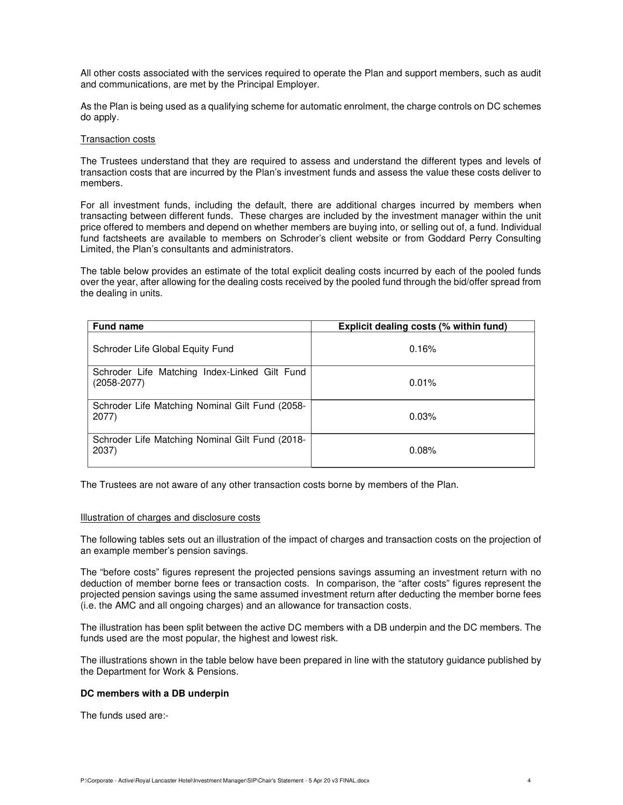All other costs associated with the services required to operate the Plan and support members, such as audit and communications, are met by the Principal Employer.

As the Plan is being used as a qualifying scheme for automatic enrolment, the charge controls on DC schemes do apply.

#### Transaction costs

The Trustees understand that they are required to assess and understand the different types and levels of transaction costs that are incurred by the Plan's investment funds and assess the value these costs deliver to members.

For all investment funds, including the default, there are additional charges incurred by members when transacting between different funds. These charges are included by the investment manager within the unit price offered to members and depend on whether members are buying into, or selling out of, a fund. Individual fund factsheets are available to members on Schroder's client website or from Goddard Perry Consulting Limited, the Plan's consultants and administrators.

The table below provides an estimate of the total explicit dealing costs incurred by each of the pooled funds over the year, after allowing for the dealing costs received by the pooled fund through the bid/offer spread from the dealing in units.

| <b>Fund name</b>                                                 | Explicit dealing costs (% within fund) |
|------------------------------------------------------------------|----------------------------------------|
| Schroder Life Global Equity Fund                                 | 0.16%                                  |
| Schroder Life Matching Index-Linked Gilt Fund<br>$(2058 - 2077)$ | 0.01%                                  |
| Schroder Life Matching Nominal Gilt Fund (2058-<br>2077)         | 0.03%                                  |
| Schroder Life Matching Nominal Gilt Fund (2018-<br>2037)         | 0.08%                                  |

The Trustees are not aware of any other transaction costs borne by members of the Plan.

#### Illustration of charges and disclosure costs

The following tables sets out an illustration of the impact of charges and transaction costs on the projection of an example member's pension savings.

The "before costs" figures represent the projected pensions savings assuming an investment return with no deduction of member borne fees or transaction costs. In comparison, the "after costs" figures represent the projected pension savings using the same assumed investment return after deducting the member borne fees (i.e. the AMC and all ongoing charges) and an allowance for transaction costs.

The illustration has been split between the active DC members with a DB underpin and the DC members. The funds used are the most popular, the highest and lowest risk.

The illustrations shown in the table below have been prepared in line with the statutory guidance published by the Department for Work & Pensions.

# **DC members with a DB underpin**

The funds used are:-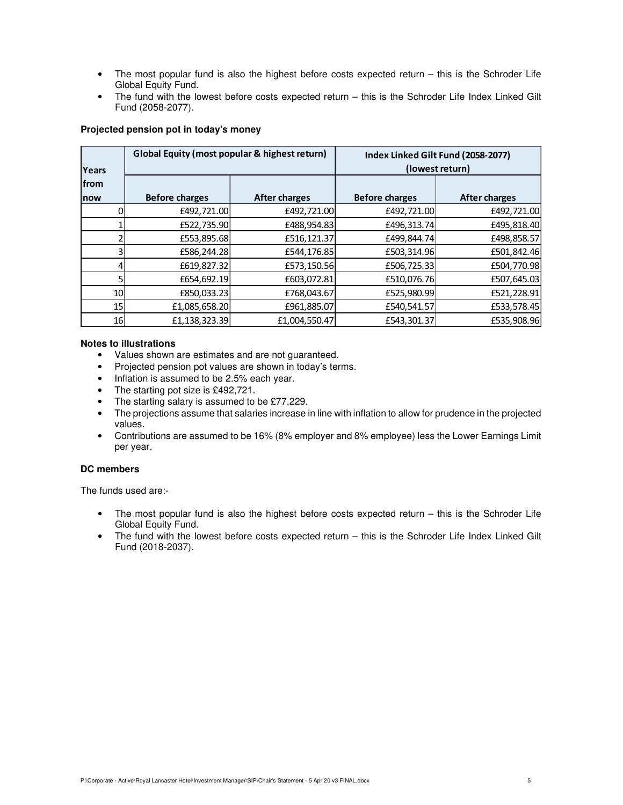- The most popular fund is also the highest before costs expected return this is the Schroder Life Global Equity Fund.
- The fund with the lowest before costs expected return this is the Schroder Life Index Linked Gilt Fund (2058-2077).

# **Projected pension pot in today's money**

| Years | Global Equity (most popular & highest return) |                      | Index Linked Gilt Fund (2058-2077)<br>(lowest return) |               |  |
|-------|-----------------------------------------------|----------------------|-------------------------------------------------------|---------------|--|
| from  |                                               |                      |                                                       |               |  |
| now   | <b>Before charges</b>                         | <b>After charges</b> | <b>Before charges</b>                                 | After charges |  |
|       | £492,721.00                                   | £492,721.00          | £492,721.00                                           | £492,721.00   |  |
|       | £522,735.90                                   | £488,954.83          | £496,313.74                                           | £495,818.40   |  |
|       | £553,895.68                                   | £516,121.37          | £499,844.74                                           | £498,858.57   |  |
| 3     | £586,244.28                                   | £544,176.85          | £503,314.96                                           | £501,842.46   |  |
|       | £619,827.32                                   | £573,150.56          | £506,725.33                                           | £504,770.98   |  |
| 5     | £654,692.19                                   | £603,072.81          | £510,076.76                                           | £507,645.03   |  |
| 10    | £850,033.23                                   | £768,043.67          | £525,980.99                                           | £521,228.91   |  |
| 15    | £1,085,658.20                                 | £961,885.07          | £540,541.57                                           | £533,578.45   |  |
| 16    | £1,138,323.39                                 | £1,004,550.47        | £543,301.37                                           | £535,908.96   |  |

# **Notes to illustrations**

- Values shown are estimates and are not guaranteed.
- Projected pension pot values are shown in today's terms.
- Inflation is assumed to be 2.5% each year.
- The starting pot size is £492,721.
- The starting salary is assumed to be £77,229.
- The projections assume that salaries increase in line with inflation to allow for prudence in the projected values.
- Contributions are assumed to be 16% (8% employer and 8% employee) less the Lower Earnings Limit per year.

# **DC members**

The funds used are:-

- The most popular fund is also the highest before costs expected return this is the Schroder Life Global Equity Fund.
- The fund with the lowest before costs expected return this is the Schroder Life Index Linked Gilt Fund (2018-2037).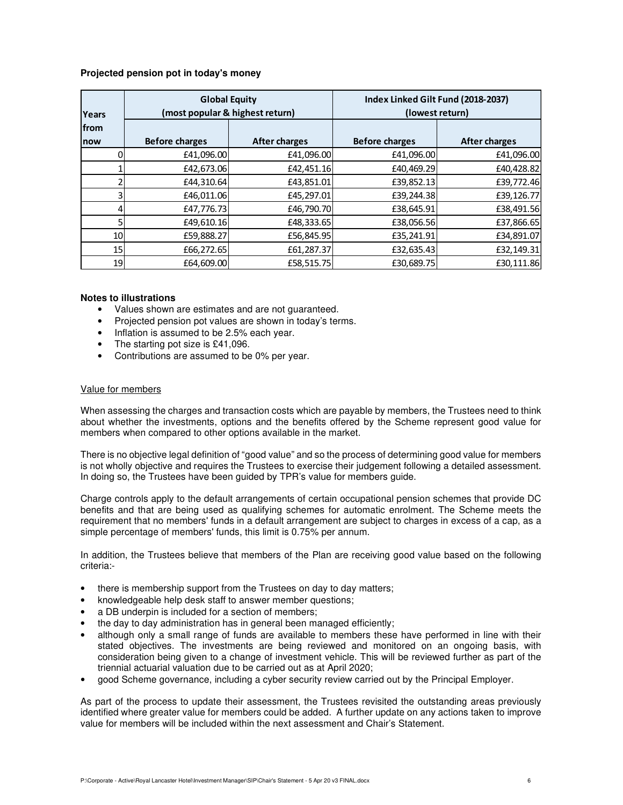# **Projected pension pot in today's money**

| Years           | <b>Global Equity</b><br>(most popular & highest return) |                      | Index Linked Gilt Fund (2018-2037)<br>(lowest return) |               |  |
|-----------------|---------------------------------------------------------|----------------------|-------------------------------------------------------|---------------|--|
| from            |                                                         |                      |                                                       |               |  |
| now             | <b>Before charges</b>                                   | <b>After charges</b> | <b>Before charges</b>                                 | After charges |  |
|                 | £41,096.00                                              | £41,096.00           | £41,096.00                                            | £41,096.00    |  |
|                 | £42,673.06                                              | £42,451.16           | £40,469.29                                            | £40,428.82    |  |
|                 | £44,310.64                                              | £43,851.01           | £39,852.13                                            | £39,772.46    |  |
|                 | £46,011.06                                              | £45,297.01           | £39,244.38                                            | £39,126.77    |  |
|                 | £47,776.73                                              | £46,790.70           | £38,645.91                                            | £38,491.56    |  |
|                 | £49,610.16                                              | £48,333.65           | £38,056.56                                            | £37,866.65    |  |
| 10 <sub>l</sub> | £59,888.27                                              | £56,845.95           | £35,241.91                                            | £34,891.07    |  |
| 15 <sub>l</sub> | £66,272.65                                              | £61,287.37           | £32,635.43                                            | £32,149.31    |  |
| 19              | £64,609.00                                              | £58,515.75           | £30,689.75                                            | £30,111.86    |  |

#### **Notes to illustrations**

- Values shown are estimates and are not guaranteed.
- Projected pension pot values are shown in today's terms.
- Inflation is assumed to be 2.5% each year.
- The starting pot size is £41,096.
- Contributions are assumed to be 0% per year.

#### Value for members

When assessing the charges and transaction costs which are payable by members, the Trustees need to think about whether the investments, options and the benefits offered by the Scheme represent good value for members when compared to other options available in the market.

There is no objective legal definition of "good value" and so the process of determining good value for members is not wholly objective and requires the Trustees to exercise their judgement following a detailed assessment. In doing so, the Trustees have been guided by TPR's value for members guide.

Charge controls apply to the default arrangements of certain occupational pension schemes that provide DC benefits and that are being used as qualifying schemes for automatic enrolment. The Scheme meets the requirement that no members' funds in a default arrangement are subject to charges in excess of a cap, as a simple percentage of members' funds, this limit is 0.75% per annum.

In addition, the Trustees believe that members of the Plan are receiving good value based on the following criteria:-

- there is membership support from the Trustees on day to day matters;
- knowledgeable help desk staff to answer member questions;
- a DB underpin is included for a section of members;
- the day to day administration has in general been managed efficiently;
- although only a small range of funds are available to members these have performed in line with their stated objectives. The investments are being reviewed and monitored on an ongoing basis, with consideration being given to a change of investment vehicle. This will be reviewed further as part of the triennial actuarial valuation due to be carried out as at April 2020;
- good Scheme governance, including a cyber security review carried out by the Principal Employer.

As part of the process to update their assessment, the Trustees revisited the outstanding areas previously identified where greater value for members could be added. A further update on any actions taken to improve value for members will be included within the next assessment and Chair's Statement.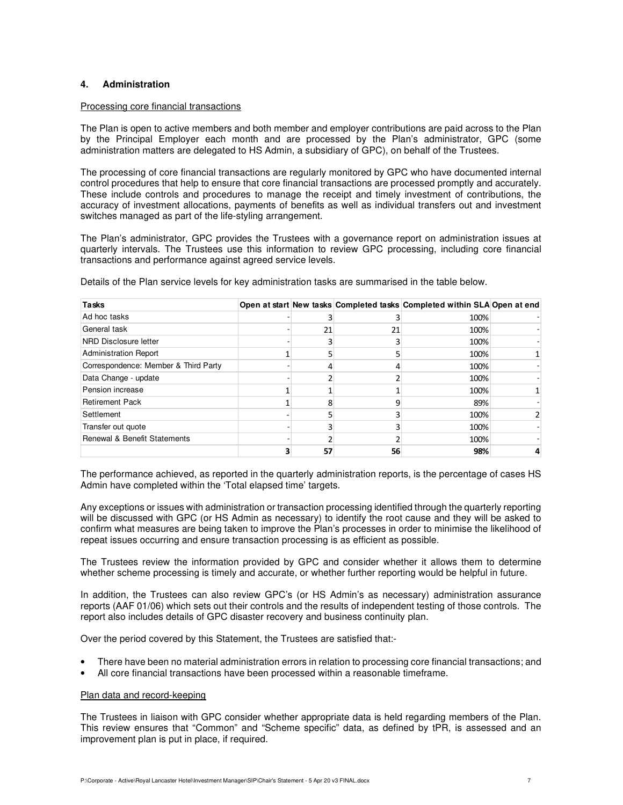# **4. Administration**

#### Processing core financial transactions

The Plan is open to active members and both member and employer contributions are paid across to the Plan by the Principal Employer each month and are processed by the Plan's administrator, GPC (some administration matters are delegated to HS Admin, a subsidiary of GPC), on behalf of the Trustees.

The processing of core financial transactions are regularly monitored by GPC who have documented internal control procedures that help to ensure that core financial transactions are processed promptly and accurately. These include controls and procedures to manage the receipt and timely investment of contributions, the accuracy of investment allocations, payments of benefits as well as individual transfers out and investment switches managed as part of the life-styling arrangement.

The Plan's administrator, GPC provides the Trustees with a governance report on administration issues at quarterly intervals. The Trustees use this information to review GPC processing, including core financial transactions and performance against agreed service levels.

| <b>Tasks</b>                            |    |    | Open at start New tasks Completed tasks Completed within SLA Open at end |  |
|-----------------------------------------|----|----|--------------------------------------------------------------------------|--|
| Ad hoc tasks                            |    |    | 100%                                                                     |  |
| General task                            | 21 | 21 | 100%                                                                     |  |
| NRD Disclosure letter                   |    |    | 100%                                                                     |  |
| <b>Administration Report</b>            |    |    | 100%                                                                     |  |
| Correspondence: Member & Third Party    | 4  |    | 100%                                                                     |  |
| Data Change - update                    |    |    | 100%                                                                     |  |
| Pension increase                        |    |    | 100%                                                                     |  |
| <b>Retirement Pack</b>                  |    |    | 89%                                                                      |  |
| Settlement                              |    |    | 100%                                                                     |  |
| Transfer out quote                      |    |    | 100%                                                                     |  |
| <b>Renewal &amp; Benefit Statements</b> |    |    | 100%                                                                     |  |
|                                         | 57 | 56 | 98%                                                                      |  |

Details of the Plan service levels for key administration tasks are summarised in the table below.

The performance achieved, as reported in the quarterly administration reports, is the percentage of cases HS Admin have completed within the 'Total elapsed time' targets.

Any exceptions or issues with administration or transaction processing identified through the quarterly reporting will be discussed with GPC (or HS Admin as necessary) to identify the root cause and they will be asked to confirm what measures are being taken to improve the Plan's processes in order to minimise the likelihood of repeat issues occurring and ensure transaction processing is as efficient as possible.

The Trustees review the information provided by GPC and consider whether it allows them to determine whether scheme processing is timely and accurate, or whether further reporting would be helpful in future.

In addition, the Trustees can also review GPC's (or HS Admin's as necessary) administration assurance reports (AAF 01/06) which sets out their controls and the results of independent testing of those controls. The report also includes details of GPC disaster recovery and business continuity plan.

Over the period covered by this Statement, the Trustees are satisfied that:-

- There have been no material administration errors in relation to processing core financial transactions; and
- All core financial transactions have been processed within a reasonable timeframe.

#### Plan data and record-keeping

The Trustees in liaison with GPC consider whether appropriate data is held regarding members of the Plan. This review ensures that "Common" and "Scheme specific" data, as defined by tPR, is assessed and an improvement plan is put in place, if required.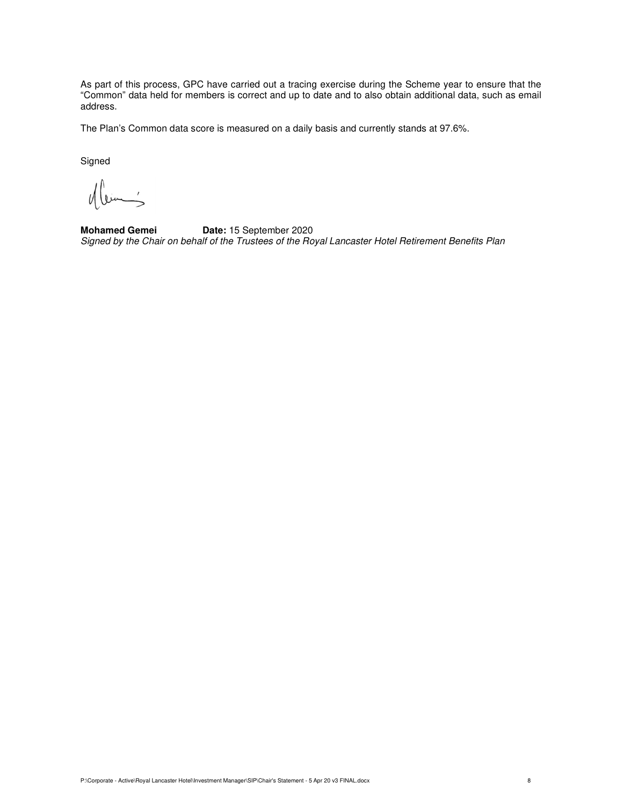As part of this process, GPC have carried out a tracing exercise during the Scheme year to ensure that the "Common" data held for members is correct and up to date and to also obtain additional data, such as email address.

The Plan's Common data score is measured on a daily basis and currently stands at 97.6%.

Signed

 $\bar{z}$ 

**Mohamed Gemei Date:** 15 September 2020 Signed by the Chair on behalf of the Trustees of the Royal Lancaster Hotel Retirement Benefits Plan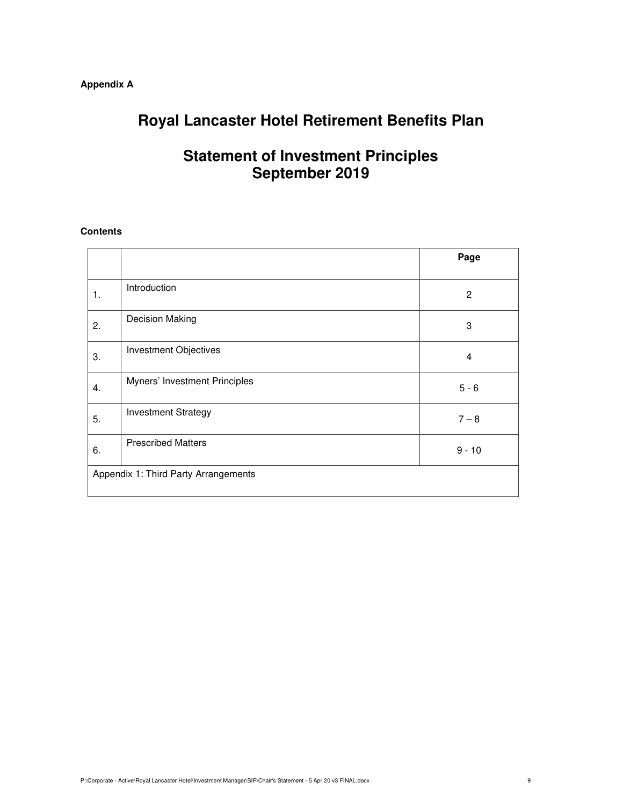# **Appendix A**

# **Royal Lancaster Hotel Retirement Benefits Plan**

# **Statement of Investment Principles September 2019**

# **Contents**

|    |                                      | Page           |
|----|--------------------------------------|----------------|
| 1. | Introduction                         | $\overline{c}$ |
| 2. | Decision Making                      | 3              |
| 3. | <b>Investment Objectives</b>         | 4              |
| 4. | Myners' Investment Principles        | $5 - 6$        |
| 5. | <b>Investment Strategy</b>           | $7 - 8$        |
| 6. | <b>Prescribed Matters</b>            | $9 - 10$       |
|    | Appendix 1: Third Party Arrangements |                |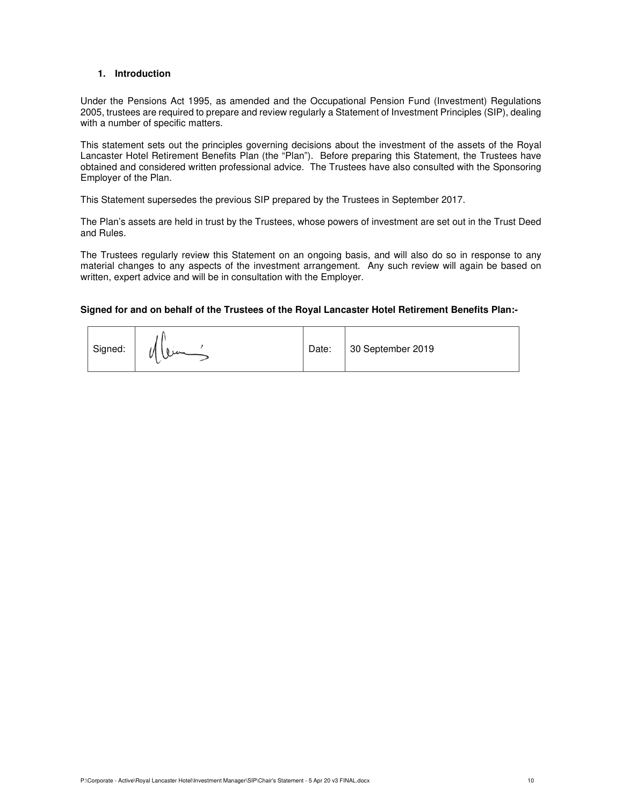#### **1. Introduction**

Under the Pensions Act 1995, as amended and the Occupational Pension Fund (Investment) Regulations 2005, trustees are required to prepare and review regularly a Statement of Investment Principles (SIP), dealing with a number of specific matters.

This statement sets out the principles governing decisions about the investment of the assets of the Royal Lancaster Hotel Retirement Benefits Plan (the "Plan"). Before preparing this Statement, the Trustees have obtained and considered written professional advice. The Trustees have also consulted with the Sponsoring Employer of the Plan.

This Statement supersedes the previous SIP prepared by the Trustees in September 2017.

The Plan's assets are held in trust by the Trustees, whose powers of investment are set out in the Trust Deed and Rules.

The Trustees regularly review this Statement on an ongoing basis, and will also do so in response to any material changes to any aspects of the investment arrangement. Any such review will again be based on written, expert advice and will be in consultation with the Employer.

# **Signed for and on behalf of the Trustees of the Royal Lancaster Hotel Retirement Benefits Plan:-**

| Signed: |  | Date: | 30 September 2019 |
|---------|--|-------|-------------------|
|---------|--|-------|-------------------|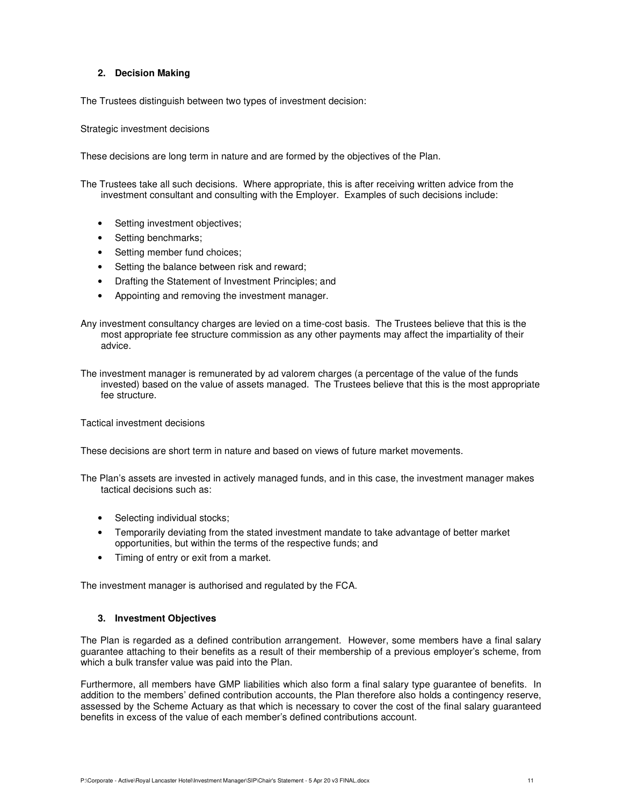# **2. Decision Making**

The Trustees distinguish between two types of investment decision:

Strategic investment decisions

These decisions are long term in nature and are formed by the objectives of the Plan.

The Trustees take all such decisions. Where appropriate, this is after receiving written advice from the investment consultant and consulting with the Employer. Examples of such decisions include:

- Setting investment objectives;
- Setting benchmarks;
- Setting member fund choices;
- Setting the balance between risk and reward;
- Drafting the Statement of Investment Principles; and
- Appointing and removing the investment manager.
- Any investment consultancy charges are levied on a time-cost basis. The Trustees believe that this is the most appropriate fee structure commission as any other payments may affect the impartiality of their advice.
- The investment manager is remunerated by ad valorem charges (a percentage of the value of the funds invested) based on the value of assets managed. The Trustees believe that this is the most appropriate fee structure.

Tactical investment decisions

These decisions are short term in nature and based on views of future market movements.

The Plan's assets are invested in actively managed funds, and in this case, the investment manager makes tactical decisions such as:

- Selecting individual stocks;
- Temporarily deviating from the stated investment mandate to take advantage of better market opportunities, but within the terms of the respective funds; and
- Timing of entry or exit from a market.

The investment manager is authorised and regulated by the FCA.

#### **3. Investment Objectives**

The Plan is regarded as a defined contribution arrangement. However, some members have a final salary guarantee attaching to their benefits as a result of their membership of a previous employer's scheme, from which a bulk transfer value was paid into the Plan.

Furthermore, all members have GMP liabilities which also form a final salary type guarantee of benefits. In addition to the members' defined contribution accounts, the Plan therefore also holds a contingency reserve, assessed by the Scheme Actuary as that which is necessary to cover the cost of the final salary guaranteed benefits in excess of the value of each member's defined contributions account.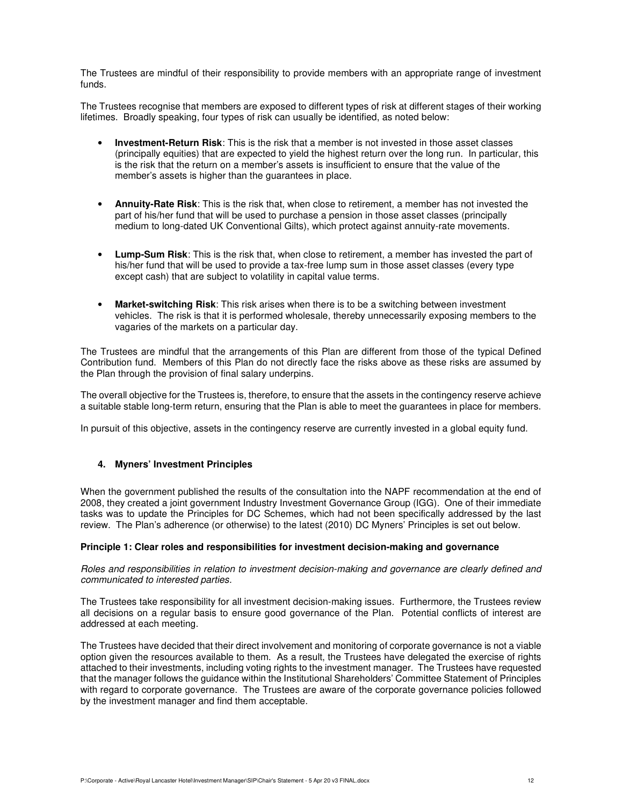The Trustees are mindful of their responsibility to provide members with an appropriate range of investment funds.

The Trustees recognise that members are exposed to different types of risk at different stages of their working lifetimes. Broadly speaking, four types of risk can usually be identified, as noted below:

- **Investment-Return Risk**: This is the risk that a member is not invested in those asset classes (principally equities) that are expected to yield the highest return over the long run. In particular, this is the risk that the return on a member's assets is insufficient to ensure that the value of the member's assets is higher than the guarantees in place.
- **Annuity-Rate Risk**: This is the risk that, when close to retirement, a member has not invested the part of his/her fund that will be used to purchase a pension in those asset classes (principally medium to long-dated UK Conventional Gilts), which protect against annuity-rate movements.
- **Lump-Sum Risk**: This is the risk that, when close to retirement, a member has invested the part of his/her fund that will be used to provide a tax-free lump sum in those asset classes (every type except cash) that are subject to volatility in capital value terms.
- **Market-switching Risk**: This risk arises when there is to be a switching between investment vehicles. The risk is that it is performed wholesale, thereby unnecessarily exposing members to the vagaries of the markets on a particular day.

The Trustees are mindful that the arrangements of this Plan are different from those of the typical Defined Contribution fund. Members of this Plan do not directly face the risks above as these risks are assumed by the Plan through the provision of final salary underpins.

The overall objective for the Trustees is, therefore, to ensure that the assets in the contingency reserve achieve a suitable stable long-term return, ensuring that the Plan is able to meet the guarantees in place for members.

In pursuit of this objective, assets in the contingency reserve are currently invested in a global equity fund.

#### **4. Myners' Investment Principles**

When the government published the results of the consultation into the NAPF recommendation at the end of 2008, they created a joint government Industry Investment Governance Group (IGG). One of their immediate tasks was to update the Principles for DC Schemes, which had not been specifically addressed by the last review. The Plan's adherence (or otherwise) to the latest (2010) DC Myners' Principles is set out below.

#### **Principle 1: Clear roles and responsibilities for investment decision-making and governance**

Roles and responsibilities in relation to investment decision-making and governance are clearly defined and communicated to interested parties.

The Trustees take responsibility for all investment decision-making issues. Furthermore, the Trustees review all decisions on a regular basis to ensure good governance of the Plan. Potential conflicts of interest are addressed at each meeting.

The Trustees have decided that their direct involvement and monitoring of corporate governance is not a viable option given the resources available to them. As a result, the Trustees have delegated the exercise of rights attached to their investments, including voting rights to the investment manager. The Trustees have requested that the manager follows the guidance within the Institutional Shareholders' Committee Statement of Principles with regard to corporate governance. The Trustees are aware of the corporate governance policies followed by the investment manager and find them acceptable.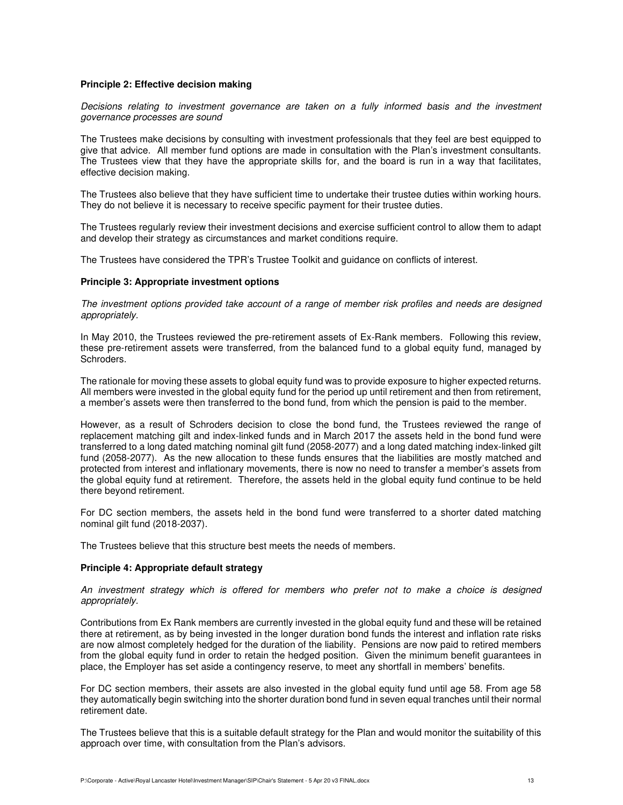#### **Principle 2: Effective decision making**

Decisions relating to investment governance are taken on a fully informed basis and the investment governance processes are sound

The Trustees make decisions by consulting with investment professionals that they feel are best equipped to give that advice. All member fund options are made in consultation with the Plan's investment consultants. The Trustees view that they have the appropriate skills for, and the board is run in a way that facilitates, effective decision making.

The Trustees also believe that they have sufficient time to undertake their trustee duties within working hours. They do not believe it is necessary to receive specific payment for their trustee duties.

The Trustees regularly review their investment decisions and exercise sufficient control to allow them to adapt and develop their strategy as circumstances and market conditions require.

The Trustees have considered the TPR's Trustee Toolkit and guidance on conflicts of interest.

#### **Principle 3: Appropriate investment options**

The investment options provided take account of a range of member risk profiles and needs are designed appropriately.

In May 2010, the Trustees reviewed the pre-retirement assets of Ex-Rank members. Following this review, these pre-retirement assets were transferred, from the balanced fund to a global equity fund, managed by Schroders.

The rationale for moving these assets to global equity fund was to provide exposure to higher expected returns. All members were invested in the global equity fund for the period up until retirement and then from retirement, a member's assets were then transferred to the bond fund, from which the pension is paid to the member.

However, as a result of Schroders decision to close the bond fund, the Trustees reviewed the range of replacement matching gilt and index-linked funds and in March 2017 the assets held in the bond fund were transferred to a long dated matching nominal gilt fund (2058-2077) and a long dated matching index-linked gilt fund (2058-2077). As the new allocation to these funds ensures that the liabilities are mostly matched and protected from interest and inflationary movements, there is now no need to transfer a member's assets from the global equity fund at retirement. Therefore, the assets held in the global equity fund continue to be held there beyond retirement.

For DC section members, the assets held in the bond fund were transferred to a shorter dated matching nominal gilt fund (2018-2037).

The Trustees believe that this structure best meets the needs of members.

#### **Principle 4: Appropriate default strategy**

An investment strategy which is offered for members who prefer not to make a choice is designed appropriately.

Contributions from Ex Rank members are currently invested in the global equity fund and these will be retained there at retirement, as by being invested in the longer duration bond funds the interest and inflation rate risks are now almost completely hedged for the duration of the liability. Pensions are now paid to retired members from the global equity fund in order to retain the hedged position. Given the minimum benefit guarantees in place, the Employer has set aside a contingency reserve, to meet any shortfall in members' benefits.

For DC section members, their assets are also invested in the global equity fund until age 58. From age 58 they automatically begin switching into the shorter duration bond fund in seven equal tranches until their normal retirement date.

The Trustees believe that this is a suitable default strategy for the Plan and would monitor the suitability of this approach over time, with consultation from the Plan's advisors.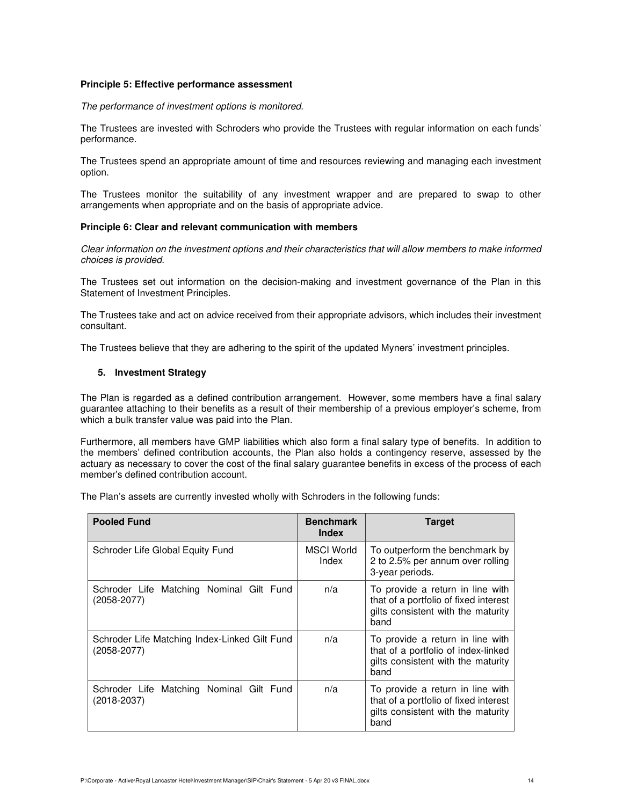#### **Principle 5: Effective performance assessment**

The performance of investment options is monitored.

The Trustees are invested with Schroders who provide the Trustees with regular information on each funds' performance.

The Trustees spend an appropriate amount of time and resources reviewing and managing each investment option.

The Trustees monitor the suitability of any investment wrapper and are prepared to swap to other arrangements when appropriate and on the basis of appropriate advice.

#### **Principle 6: Clear and relevant communication with members**

Clear information on the investment options and their characteristics that will allow members to make informed choices is provided.

The Trustees set out information on the decision-making and investment governance of the Plan in this Statement of Investment Principles.

The Trustees take and act on advice received from their appropriate advisors, which includes their investment consultant.

The Trustees believe that they are adhering to the spirit of the updated Myners' investment principles.

#### **5. Investment Strategy**

The Plan is regarded as a defined contribution arrangement. However, some members have a final salary guarantee attaching to their benefits as a result of their membership of a previous employer's scheme, from which a bulk transfer value was paid into the Plan.

Furthermore, all members have GMP liabilities which also form a final salary type of benefits. In addition to the members' defined contribution accounts, the Plan also holds a contingency reserve, assessed by the actuary as necessary to cover the cost of the final salary guarantee benefits in excess of the process of each member's defined contribution account.

The Plan's assets are currently invested wholly with Schroders in the following funds:

| <b>Pooled Fund</b>                                               | <b>Benchmark</b><br>Index | <b>Target</b>                                                                                                           |
|------------------------------------------------------------------|---------------------------|-------------------------------------------------------------------------------------------------------------------------|
| Schroder Life Global Equity Fund                                 | MSCI World<br>Index       | To outperform the benchmark by<br>2 to 2.5% per annum over rolling<br>3-year periods.                                   |
| Schroder Life Matching Nominal Gilt Fund<br>$(2058 - 2077)$      | n/a                       | To provide a return in line with<br>that of a portfolio of fixed interest<br>gilts consistent with the maturity<br>band |
| Schroder Life Matching Index-Linked Gilt Fund<br>$(2058 - 2077)$ | n/a                       | To provide a return in line with<br>that of a portfolio of index-linked<br>gilts consistent with the maturity<br>band   |
| Schroder Life Matching Nominal Gilt Fund<br>$(2018 - 2037)$      | n/a                       | To provide a return in line with<br>that of a portfolio of fixed interest<br>gilts consistent with the maturity<br>band |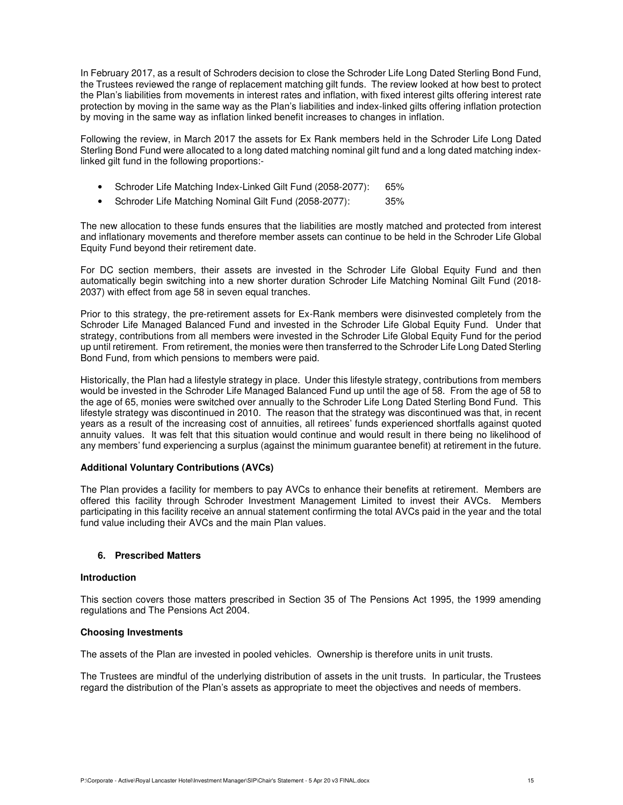In February 2017, as a result of Schroders decision to close the Schroder Life Long Dated Sterling Bond Fund, the Trustees reviewed the range of replacement matching gilt funds. The review looked at how best to protect the Plan's liabilities from movements in interest rates and inflation, with fixed interest gilts offering interest rate protection by moving in the same way as the Plan's liabilities and index-linked gilts offering inflation protection by moving in the same way as inflation linked benefit increases to changes in inflation.

Following the review, in March 2017 the assets for Ex Rank members held in the Schroder Life Long Dated Sterling Bond Fund were allocated to a long dated matching nominal gilt fund and a long dated matching indexlinked gilt fund in the following proportions:-

- Schroder Life Matching Index-Linked Gilt Fund (2058-2077): 65%
- Schroder Life Matching Nominal Gilt Fund (2058-2077): 35%

The new allocation to these funds ensures that the liabilities are mostly matched and protected from interest and inflationary movements and therefore member assets can continue to be held in the Schroder Life Global Equity Fund beyond their retirement date.

For DC section members, their assets are invested in the Schroder Life Global Equity Fund and then automatically begin switching into a new shorter duration Schroder Life Matching Nominal Gilt Fund (2018- 2037) with effect from age 58 in seven equal tranches.

Prior to this strategy, the pre-retirement assets for Ex-Rank members were disinvested completely from the Schroder Life Managed Balanced Fund and invested in the Schroder Life Global Equity Fund. Under that strategy, contributions from all members were invested in the Schroder Life Global Equity Fund for the period up until retirement. From retirement, the monies were then transferred to the Schroder Life Long Dated Sterling Bond Fund, from which pensions to members were paid.

Historically, the Plan had a lifestyle strategy in place. Under this lifestyle strategy, contributions from members would be invested in the Schroder Life Managed Balanced Fund up until the age of 58. From the age of 58 to the age of 65, monies were switched over annually to the Schroder Life Long Dated Sterling Bond Fund. This lifestyle strategy was discontinued in 2010. The reason that the strategy was discontinued was that, in recent years as a result of the increasing cost of annuities, all retirees' funds experienced shortfalls against quoted annuity values. It was felt that this situation would continue and would result in there being no likelihood of any members' fund experiencing a surplus (against the minimum guarantee benefit) at retirement in the future.

#### **Additional Voluntary Contributions (AVCs)**

The Plan provides a facility for members to pay AVCs to enhance their benefits at retirement. Members are offered this facility through Schroder Investment Management Limited to invest their AVCs. Members participating in this facility receive an annual statement confirming the total AVCs paid in the year and the total fund value including their AVCs and the main Plan values.

#### **6. Prescribed Matters**

#### **Introduction**

This section covers those matters prescribed in Section 35 of The Pensions Act 1995, the 1999 amending regulations and The Pensions Act 2004.

#### **Choosing Investments**

The assets of the Plan are invested in pooled vehicles. Ownership is therefore units in unit trusts.

The Trustees are mindful of the underlying distribution of assets in the unit trusts. In particular, the Trustees regard the distribution of the Plan's assets as appropriate to meet the objectives and needs of members.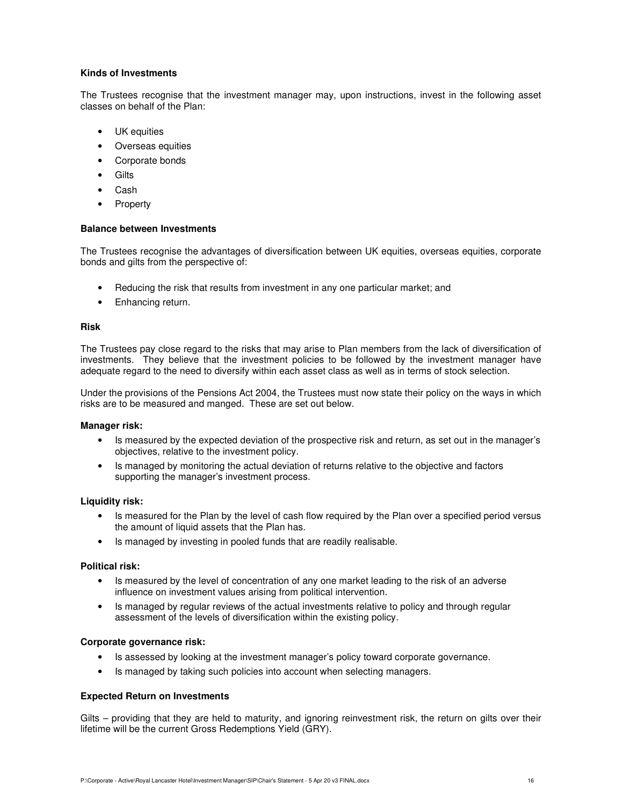## **Kinds of Investments**

The Trustees recognise that the investment manager may, upon instructions, invest in the following asset classes on behalf of the Plan:

- UK equities
- Overseas equities
- Corporate bonds
- **Gilts**
- Cash
- **Property**

### **Balance between Investments**

The Trustees recognise the advantages of diversification between UK equities, overseas equities, corporate bonds and gilts from the perspective of:

- Reducing the risk that results from investment in any one particular market; and
- Enhancing return.

## **Risk**

The Trustees pay close regard to the risks that may arise to Plan members from the lack of diversification of investments. They believe that the investment policies to be followed by the investment manager have adequate regard to the need to diversify within each asset class as well as in terms of stock selection.

Under the provisions of the Pensions Act 2004, the Trustees must now state their policy on the ways in which risks are to be measured and manged. These are set out below.

#### **Manager risk:**

- Is measured by the expected deviation of the prospective risk and return, as set out in the manager's objectives, relative to the investment policy.
- Is managed by monitoring the actual deviation of returns relative to the objective and factors supporting the manager's investment process.

#### **Liquidity risk:**

- Is measured for the Plan by the level of cash flow required by the Plan over a specified period versus the amount of liquid assets that the Plan has.
- Is managed by investing in pooled funds that are readily realisable.

#### **Political risk:**

- Is measured by the level of concentration of any one market leading to the risk of an adverse influence on investment values arising from political intervention.
- Is managed by regular reviews of the actual investments relative to policy and through regular assessment of the levels of diversification within the existing policy.

# **Corporate governance risk:**

- Is assessed by looking at the investment manager's policy toward corporate governance.
- Is managed by taking such policies into account when selecting managers.

#### **Expected Return on Investments**

Gilts – providing that they are held to maturity, and ignoring reinvestment risk, the return on gilts over their lifetime will be the current Gross Redemptions Yield (GRY).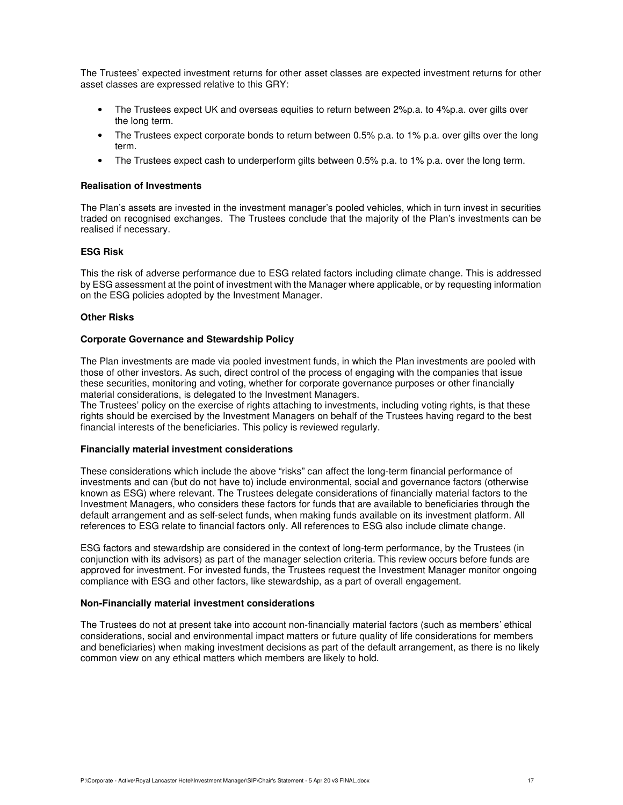The Trustees' expected investment returns for other asset classes are expected investment returns for other asset classes are expressed relative to this GRY:

- The Trustees expect UK and overseas equities to return between 2%p.a. to 4%p.a. over gilts over the long term.
- The Trustees expect corporate bonds to return between 0.5% p.a. to 1% p.a. over gilts over the long term.
- The Trustees expect cash to underperform gilts between 0.5% p.a. to 1% p.a. over the long term.

#### **Realisation of Investments**

The Plan's assets are invested in the investment manager's pooled vehicles, which in turn invest in securities traded on recognised exchanges. The Trustees conclude that the majority of the Plan's investments can be realised if necessary.

# **ESG Risk**

This the risk of adverse performance due to ESG related factors including climate change. This is addressed by ESG assessment at the point of investment with the Manager where applicable, or by requesting information on the ESG policies adopted by the Investment Manager.

#### **Other Risks**

#### **Corporate Governance and Stewardship Policy**

The Plan investments are made via pooled investment funds, in which the Plan investments are pooled with those of other investors. As such, direct control of the process of engaging with the companies that issue these securities, monitoring and voting, whether for corporate governance purposes or other financially material considerations, is delegated to the Investment Managers.

The Trustees' policy on the exercise of rights attaching to investments, including voting rights, is that these rights should be exercised by the Investment Managers on behalf of the Trustees having regard to the best financial interests of the beneficiaries. This policy is reviewed regularly.

#### **Financially material investment considerations**

These considerations which include the above "risks" can affect the long-term financial performance of investments and can (but do not have to) include environmental, social and governance factors (otherwise known as ESG) where relevant. The Trustees delegate considerations of financially material factors to the Investment Managers, who considers these factors for funds that are available to beneficiaries through the default arrangement and as self-select funds, when making funds available on its investment platform. All references to ESG relate to financial factors only. All references to ESG also include climate change.

ESG factors and stewardship are considered in the context of long-term performance, by the Trustees (in conjunction with its advisors) as part of the manager selection criteria. This review occurs before funds are approved for investment. For invested funds, the Trustees request the Investment Manager monitor ongoing compliance with ESG and other factors, like stewardship, as a part of overall engagement.

#### **Non-Financially material investment considerations**

The Trustees do not at present take into account non-financially material factors (such as members' ethical considerations, social and environmental impact matters or future quality of life considerations for members and beneficiaries) when making investment decisions as part of the default arrangement, as there is no likely common view on any ethical matters which members are likely to hold.